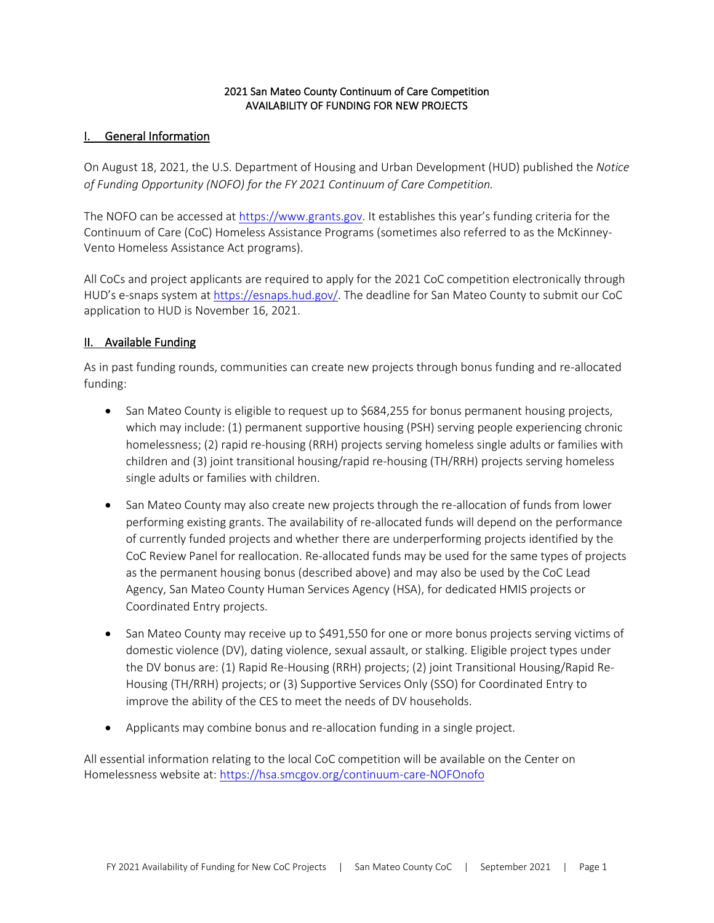### 2021 San Mateo County Continuum of Care Competition AVAILABILITY OF FUNDING FOR NEW PROJECTS

### I. General Information

On August 18, 2021, the U.S. Department of Housing and Urban Development (HUD) published the *Notice of Funding Opportunity (NOFO) for the FY 2021 Continuum of Care Competition.*

The NOFO can be accessed at [https://www.grants.gov.](https://www.grants.gov/) It establishes this year's funding criteria for the Continuum of Care (CoC) Homeless Assistance Programs (sometimes also referred to as the McKinney-Vento Homeless Assistance Act programs).

All CoCs and project applicants are required to apply for the 2021 CoC competition electronically through HUD's e-snaps system at [https://esnaps.hud.gov/.](https://esnaps.hud.gov/) The deadline for San Mateo County to submit our CoC application to HUD is November 16, 2021.

# II. Available Funding

As in past funding rounds, communities can create new projects through bonus funding and re-allocated funding:

- San Mateo County is eligible to request up to \$684,255 for bonus permanent housing projects, which may include: (1) permanent supportive housing (PSH) serving people experiencing chronic homelessness; (2) rapid re-housing (RRH) projects serving homeless single adults or families with children and (3) joint transitional housing/rapid re-housing (TH/RRH) projects serving homeless single adults or families with children.
- San Mateo County may also create new projects through the re-allocation of funds from lower performing existing grants. The availability of re-allocated funds will depend on the performance of currently funded projects and whether there are underperforming projects identified by the CoC Review Panel for reallocation. Re-allocated funds may be used for the same types of projects as the permanent housing bonus (described above) and may also be used by the CoC Lead Agency, San Mateo County Human Services Agency (HSA), for dedicated HMIS projects or Coordinated Entry projects.
- San Mateo County may receive up to \$491,550 for one or more bonus projects serving victims of domestic violence (DV), dating violence, sexual assault, or stalking. Eligible project types under the DV bonus are: (1) Rapid Re-Housing (RRH) projects; (2) joint Transitional Housing/Rapid Re-Housing (TH/RRH) projects; or (3) Supportive Services Only (SSO) for Coordinated Entry to improve the ability of the CES to meet the needs of DV households.
- Applicants may combine bonus and re-allocation funding in a single project.

All essential information relating to the local CoC competition will be available on the Center on Homelessness website at: [https://hsa.smcgov.org/continuum-care-NOFOnofo](https://hsa.smcgov.org/continuum-care-nofanofo)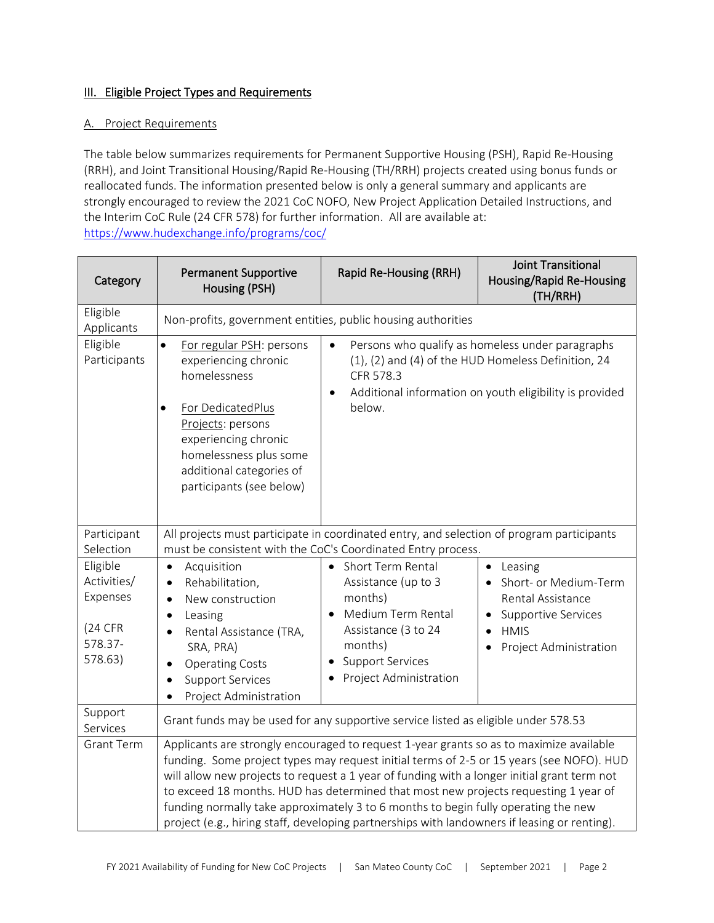# **III.** Eligible Project Types and Requirements

### A. Project Requirements

The table below summarizes requirements for Permanent Supportive Housing (PSH), Rapid Re-Housing (RRH), and Joint Transitional Housing/Rapid Re-Housing (TH/RRH) projects created using bonus funds or reallocated funds. The information presented below is only a general summary and applicants are strongly encouraged to review the 2021 CoC NOFO, New Project Application Detailed Instructions, and the Interim CoC Rule (24 CFR 578) for further information. All are available at: <https://www.hudexchange.info/programs/coc/>

| Category                                                             | <b>Permanent Supportive</b><br>Housing (PSH)                                                                                                                                                                                                                                                                                                                                                                                                                                                                                                                                                                                                          | Rapid Re-Housing (RRH)                                                                                                                                           | Joint Transitional<br>Housing/Rapid Re-Housing<br>(TH/RRH)                                                                                                         |
|----------------------------------------------------------------------|-------------------------------------------------------------------------------------------------------------------------------------------------------------------------------------------------------------------------------------------------------------------------------------------------------------------------------------------------------------------------------------------------------------------------------------------------------------------------------------------------------------------------------------------------------------------------------------------------------------------------------------------------------|------------------------------------------------------------------------------------------------------------------------------------------------------------------|--------------------------------------------------------------------------------------------------------------------------------------------------------------------|
| Eligible<br>Applicants                                               | Non-profits, government entities, public housing authorities                                                                                                                                                                                                                                                                                                                                                                                                                                                                                                                                                                                          |                                                                                                                                                                  |                                                                                                                                                                    |
| Eligible<br>Participants                                             | For regular PSH: persons<br>$\bullet$<br>experiencing chronic<br>homelessness<br>For DedicatedPlus<br>Projects: persons<br>experiencing chronic<br>homelessness plus some<br>additional categories of<br>participants (see below)                                                                                                                                                                                                                                                                                                                                                                                                                     | $\bullet$<br>CFR 578.3<br>$\bullet$<br>below.                                                                                                                    | Persons who qualify as homeless under paragraphs<br>(1), (2) and (4) of the HUD Homeless Definition, 24<br>Additional information on youth eligibility is provided |
| Participant<br>Selection                                             | All projects must participate in coordinated entry, and selection of program participants<br>must be consistent with the CoC's Coordinated Entry process.                                                                                                                                                                                                                                                                                                                                                                                                                                                                                             |                                                                                                                                                                  |                                                                                                                                                                    |
| Eligible<br>Activities/<br>Expenses<br>(24 CFR<br>578.37-<br>578.63) | Acquisition<br>$\bullet$<br>Rehabilitation,<br>$\bullet$<br>New construction<br>$\bullet$<br>Leasing<br>$\bullet$<br>Rental Assistance (TRA,<br>SRA, PRA)<br><b>Operating Costs</b><br><b>Support Services</b><br>Project Administration                                                                                                                                                                                                                                                                                                                                                                                                              | Short Term Rental<br>Assistance (up to 3<br>months)<br>Medium Term Rental<br>Assistance (3 to 24<br>months)<br><b>Support Services</b><br>Project Administration | Leasing<br>$\bullet$<br>Short- or Medium-Term<br>Rental Assistance<br><b>Supportive Services</b><br><b>HMIS</b><br>Project Administration                          |
| Support<br>Services                                                  | Grant funds may be used for any supportive service listed as eligible under 578.53<br>Applicants are strongly encouraged to request 1-year grants so as to maximize available<br>funding. Some project types may request initial terms of 2-5 or 15 years (see NOFO). HUD<br>will allow new projects to request a 1 year of funding with a longer initial grant term not<br>to exceed 18 months. HUD has determined that most new projects requesting 1 year of<br>funding normally take approximately 3 to 6 months to begin fully operating the new<br>project (e.g., hiring staff, developing partnerships with landowners if leasing or renting). |                                                                                                                                                                  |                                                                                                                                                                    |
| <b>Grant Term</b>                                                    |                                                                                                                                                                                                                                                                                                                                                                                                                                                                                                                                                                                                                                                       |                                                                                                                                                                  |                                                                                                                                                                    |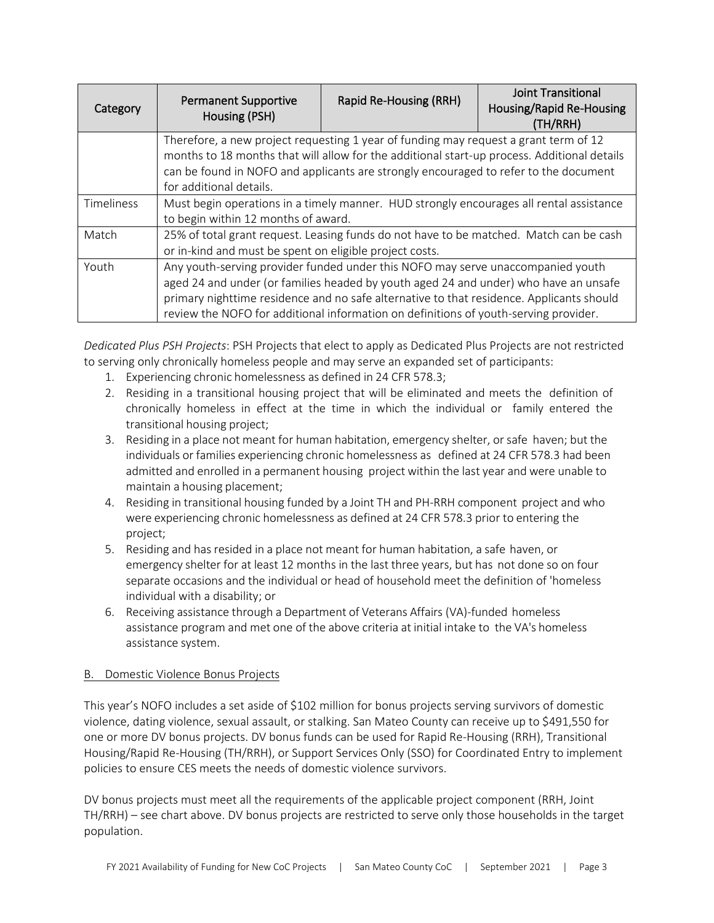| Category   | <b>Permanent Supportive</b><br>Housing (PSH)                                                                                                                                                                                                                                                                                                                | Rapid Re-Housing (RRH) | <b>Joint Transitional</b><br><b>Housing/Rapid Re-Housing</b><br>(TH/RRH) |
|------------|-------------------------------------------------------------------------------------------------------------------------------------------------------------------------------------------------------------------------------------------------------------------------------------------------------------------------------------------------------------|------------------------|--------------------------------------------------------------------------|
|            | Therefore, a new project requesting 1 year of funding may request a grant term of 12<br>months to 18 months that will allow for the additional start-up process. Additional details<br>can be found in NOFO and applicants are strongly encouraged to refer to the document<br>for additional details.                                                      |                        |                                                                          |
| Timeliness | Must begin operations in a timely manner. HUD strongly encourages all rental assistance<br>to begin within 12 months of award.                                                                                                                                                                                                                              |                        |                                                                          |
| Match      | 25% of total grant request. Leasing funds do not have to be matched. Match can be cash<br>or in-kind and must be spent on eligible project costs.                                                                                                                                                                                                           |                        |                                                                          |
| Youth      | Any youth-serving provider funded under this NOFO may serve unaccompanied youth<br>aged 24 and under (or families headed by youth aged 24 and under) who have an unsafe<br>primary nighttime residence and no safe alternative to that residence. Applicants should<br>review the NOFO for additional information on definitions of youth-serving provider. |                        |                                                                          |

*Dedicated Plus PSH Projects*: PSH Projects that elect to apply as Dedicated Plus Projects are not restricted to serving only chronically homeless people and may serve an expanded set of participants:

- 1. Experiencing chronic homelessness as defined in 24 CFR 578.3;
- 2. Residing in a transitional housing project that will be eliminated and meets the definition of chronically homeless in effect at the time in which the individual or family entered the transitional housing project;
- 3. Residing in a place not meant for human habitation, emergency shelter, orsafe haven; but the individuals or families experiencing chronic homelessness as defined at 24 CFR 578.3 had been admitted and enrolled in a permanent housing project within the last year and were unable to maintain a housing placement;
- 4. Residing in transitional housing funded by a Joint TH and PH-RRH component project and who were experiencing chronic homelessness as defined at 24 CFR 578.3 prior to entering the project;
- 5. Residing and has resided in a place not meant for human habitation, a safe haven, or emergency shelter for at least 12 months in the last three years, but has not done so on four separate occasions and the individual or head of household meet the definition of 'homeless individual with a disability; or
- 6. Receiving assistance through a Department of Veterans Affairs (VA)-funded homeless assistance program and met one of the above criteria at initial intake to the VA's homeless assistance system.

# B. Domestic Violence Bonus Projects

This year's NOFO includes a set aside of \$102 million for bonus projects serving survivors of domestic violence, dating violence, sexual assault, or stalking. San Mateo County can receive up to \$491,550 for one or more DV bonus projects. DV bonus funds can be used for Rapid Re-Housing (RRH), Transitional Housing/Rapid Re-Housing (TH/RRH), or Support Services Only (SSO) for Coordinated Entry to implement policies to ensure CES meets the needs of domestic violence survivors.

DV bonus projects must meet all the requirements of the applicable project component (RRH, Joint TH/RRH) – see chart above. DV bonus projects are restricted to serve only those households in the target population.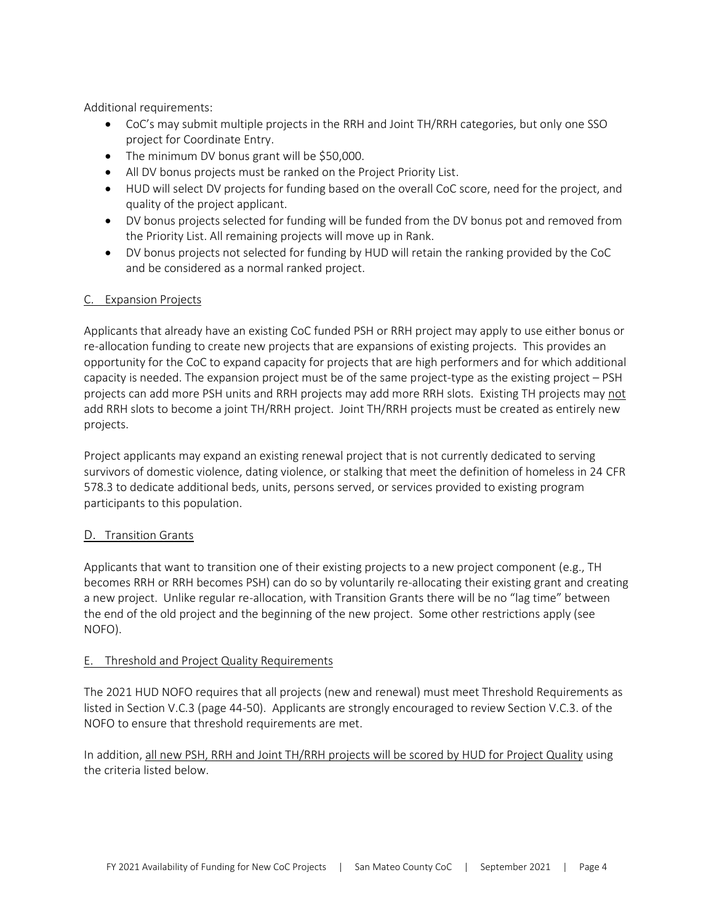Additional requirements:

- CoC's may submit multiple projects in the RRH and Joint TH/RRH categories, but only one SSO project for Coordinate Entry.
- The minimum DV bonus grant will be \$50,000.
- All DV bonus projects must be ranked on the Project Priority List.
- HUD will select DV projects for funding based on the overall CoC score, need for the project, and quality of the project applicant.
- DV bonus projects selected for funding will be funded from the DV bonus pot and removed from the Priority List. All remaining projects will move up in Rank.
- DV bonus projects not selected for funding by HUD will retain the ranking provided by the CoC and be considered as a normal ranked project.

### C. Expansion Projects

Applicants that already have an existing CoC funded PSH or RRH project may apply to use either bonus or re-allocation funding to create new projects that are expansions of existing projects. This provides an opportunity for the CoC to expand capacity for projects that are high performers and for which additional capacity is needed. The expansion project must be of the same project-type as the existing project – PSH projects can add more PSH units and RRH projects may add more RRH slots. Existing TH projects may not add RRH slots to become a joint TH/RRH project. Joint TH/RRH projects must be created as entirely new projects.

Project applicants may expand an existing renewal project that is not currently dedicated to serving survivors of domestic violence, dating violence, or stalking that meet the definition of homeless in 24 CFR 578.3 to dedicate additional beds, units, persons served, or services provided to existing program participants to this population.

### D. Transition Grants

Applicants that want to transition one of their existing projects to a new project component (e.g., TH becomes RRH or RRH becomes PSH) can do so by voluntarily re-allocating their existing grant and creating a new project. Unlike regular re-allocation, with Transition Grants there will be no "lag time" between the end of the old project and the beginning of the new project. Some other restrictions apply (see NOFO).

### E. Threshold and Project Quality Requirements

The 2021 HUD NOFO requires that all projects (new and renewal) must meet Threshold Requirements as listed in Section V.C.3 (page 44-50). Applicants are strongly encouraged to review Section V.C.3. of the NOFO to ensure that threshold requirements are met.

In addition, all new PSH, RRH and Joint TH/RRH projects will be scored by HUD for Project Quality using the criteria listed below.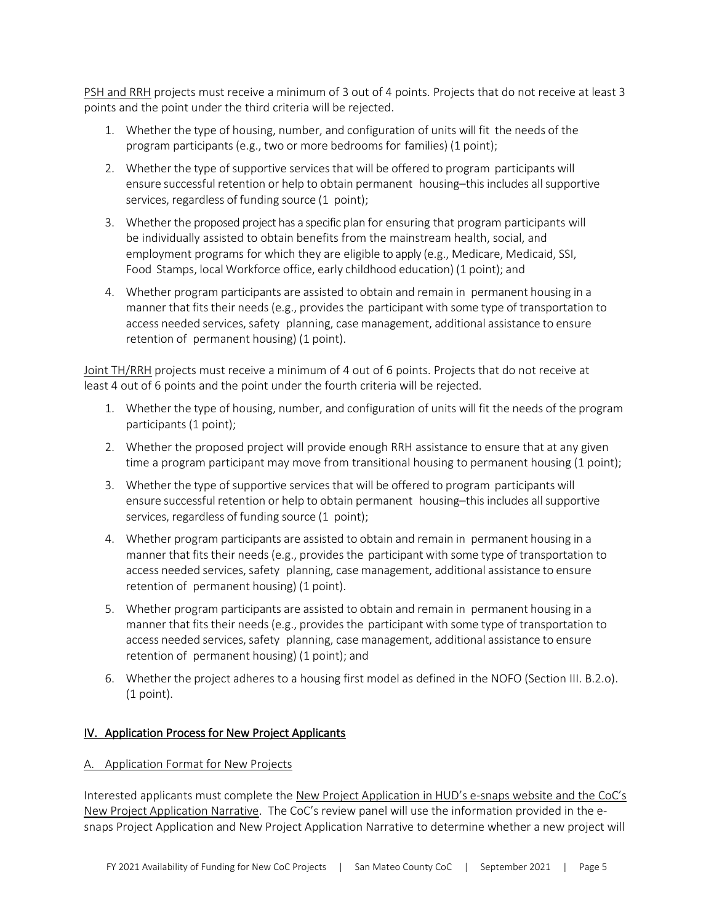PSH and RRH projects must receive a minimum of 3 out of 4 points. Projects that do not receive at least 3 points and the point under the third criteria will be rejected.

- 1. Whether the type of housing, number, and configuration of units will fit the needs of the program participants (e.g., two or more bedrooms for families) (1 point);
- 2. Whether the type of supportive services that will be offered to program participants will ensure successful retention or help to obtain permanent housing–this includes all supportive services, regardless of funding source (1 point);
- 3. Whether the proposed project has a specific plan for ensuring that program participants will be individually assisted to obtain benefits from the mainstream health, social, and employment programs for which they are eligible to apply (e.g., Medicare, Medicaid, SSI, Food Stamps, local Workforce office, early childhood education) (1 point); and
- 4. Whether program participants are assisted to obtain and remain in permanent housing in a manner that fits their needs (e.g., provides the participant with some type of transportation to access needed services, safety planning, case management, additional assistance to ensure retention of permanent housing) (1 point).

Joint TH/RRH projects must receive a minimum of 4 out of 6 points. Projects that do not receive at least 4 out of 6 points and the point under the fourth criteria will be rejected.

- 1. Whether the type of housing, number, and configuration of units will fit the needs of the program participants (1 point);
- 2. Whether the proposed project will provide enough RRH assistance to ensure that at any given time a program participant may move from transitional housing to permanent housing (1 point);
- 3. Whether the type of supportive services that will be offered to program participants will ensure successful retention or help to obtain permanent housing–this includes all supportive services, regardless of funding source (1 point);
- 4. Whether program participants are assisted to obtain and remain in permanent housing in a manner that fits their needs (e.g., provides the participant with some type of transportation to access needed services, safety planning, case management, additional assistance to ensure retention of permanent housing) (1 point).
- 5. Whether program participants are assisted to obtain and remain in permanent housing in a manner that fits their needs(e.g., provides the participant with some type of transportation to access needed services, safety planning, case management, additional assistance to ensure retention of permanent housing) (1 point); and
- 6. Whether the project adheres to a housing first model as defined in the NOFO (Section III. B.2.o). (1 point).

# IV. Application Process for New Project Applicants

### A. Application Format for New Projects

Interested applicants must complete the New Project Application in HUD's e-snaps website and the CoC's New Project Application Narrative. The CoC's review panel will use the information provided in the esnaps Project Application and New Project Application Narrative to determine whether a new project will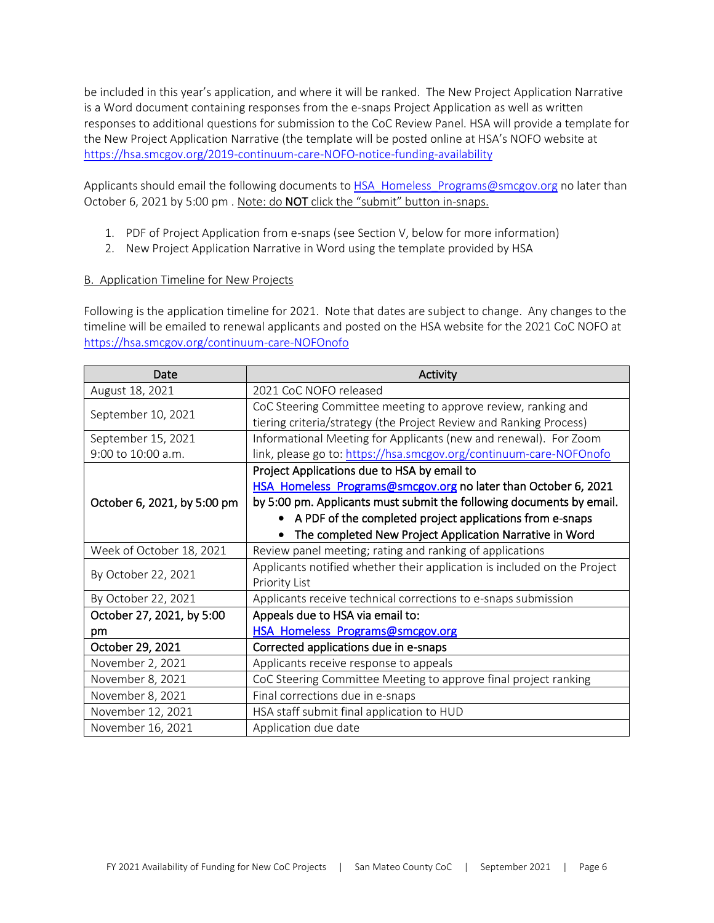be included in this year's application, and where it will be ranked. The New Project Application Narrative is a Word document containing responses from the e-snaps Project Application as well as written responses to additional questions for submission to the CoC Review Panel. HSA will provide a template for the New Project Application Narrative (the template will be posted online at HSA's NOFO website at [https://hsa.smcgov.org/2019-continuum-care-NOFO-notice-funding-availability](https://hsa.smcgov.org/2019-continuum-care-nofa-notice-funding-availability)

Applicants should email the following documents t[o HSA\\_Homeless\\_Programs@smcgov.org](mailto:HSA_Homeless_Programs@smcgov.org) no later than October 6, 2021 by 5:00 pm . Note: do NOT click the "submit" button in-snaps.

- 1. PDF of Project Application from e-snaps (see Section V, below for more information)
- 2. New Project Application Narrative in Word using the template provided by HSA

### B. Application Timeline for New Projects

Following is the application timeline for 2021. Note that dates are subject to change. Any changes to the timeline will be emailed to renewal applicants and posted on the HSA website for the 2021 CoC NOFO at [https://hsa.smcgov.org/continuum-care-NOFOnofo](https://hsa.smcgov.org/continuum-care-nofanofo)

| Date                        | Activity                                                                 |  |
|-----------------------------|--------------------------------------------------------------------------|--|
| August 18, 2021             | 2021 CoC NOFO released                                                   |  |
| September 10, 2021          | CoC Steering Committee meeting to approve review, ranking and            |  |
|                             | tiering criteria/strategy (the Project Review and Ranking Process)       |  |
| September 15, 2021          | Informational Meeting for Applicants (new and renewal). For Zoom         |  |
| 9:00 to 10:00 a.m.          | link, please go to: https://hsa.smcgov.org/continuum-care-NOFOnofo       |  |
|                             | Project Applications due to HSA by email to                              |  |
|                             | HSA Homeless Programs@smcgov.org no later than October 6, 2021           |  |
| October 6, 2021, by 5:00 pm | by 5:00 pm. Applicants must submit the following documents by email.     |  |
|                             | A PDF of the completed project applications from e-snaps                 |  |
|                             | The completed New Project Application Narrative in Word                  |  |
| Week of October 18, 2021    | Review panel meeting; rating and ranking of applications                 |  |
| By October 22, 2021         | Applicants notified whether their application is included on the Project |  |
|                             | Priority List                                                            |  |
| By October 22, 2021         | Applicants receive technical corrections to e-snaps submission           |  |
| October 27, 2021, by 5:00   | Appeals due to HSA via email to:                                         |  |
| pm                          | HSA Homeless Programs@smcgov.org                                         |  |
| October 29, 2021            | Corrected applications due in e-snaps                                    |  |
| November 2, 2021            | Applicants receive response to appeals                                   |  |
| November 8, 2021            | CoC Steering Committee Meeting to approve final project ranking          |  |
| November 8, 2021            | Final corrections due in e-snaps                                         |  |
| November 12, 2021           | HSA staff submit final application to HUD                                |  |
| November 16, 2021           | Application due date                                                     |  |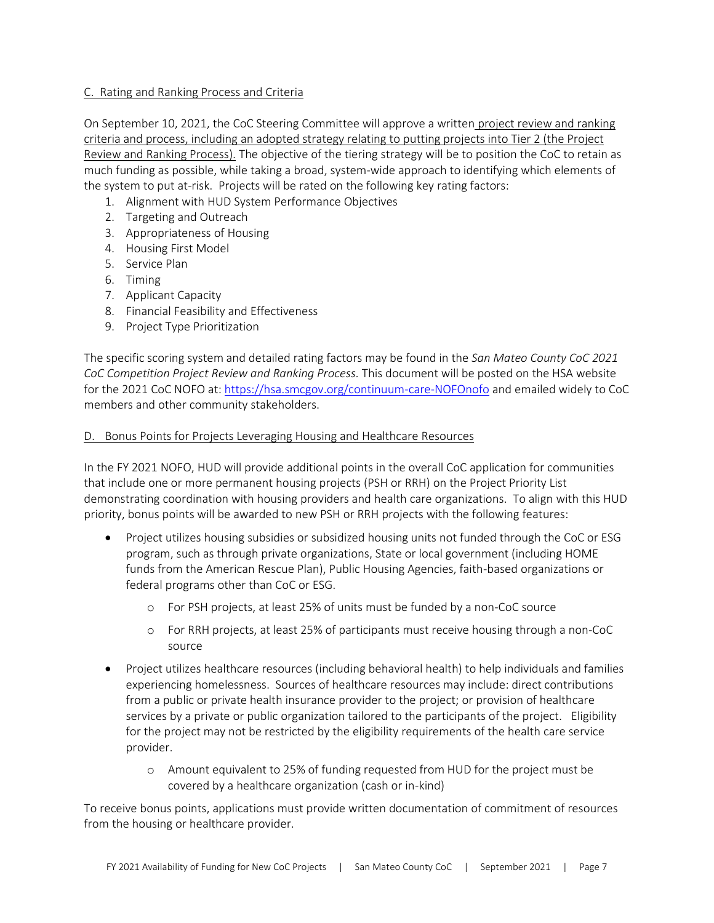### C. Rating and Ranking Process and Criteria

On September 10, 2021, the CoC Steering Committee will approve a written project review and ranking criteria and process, including an adopted strategy relating to putting projects into Tier 2 (the Project Review and Ranking Process). The objective of the tiering strategy will be to position the CoC to retain as much funding as possible, while taking a broad, system-wide approach to identifying which elements of the system to put at-risk. Projects will be rated on the following key rating factors:

- 1. Alignment with HUD System Performance Objectives
- 2. Targeting and Outreach
- 3. Appropriateness of Housing
- 4. Housing First Model
- 5. Service Plan
- 6. Timing
- 7. Applicant Capacity
- 8. Financial Feasibility and Effectiveness
- 9. Project Type Prioritization

The specific scoring system and detailed rating factors may be found in the *San Mateo County CoC 2021 CoC Competition Project Review and Ranking Process.* This document will be posted on the HSA website for the 2021 CoC NOFO at: [https://hsa.smcgov.org/continuum-care-NOFOnofo](https://hsa.smcgov.org/continuum-care-nofanofo) and emailed widely to CoC members and other community stakeholders.

### D. Bonus Points for Projects Leveraging Housing and Healthcare Resources

In the FY 2021 NOFO, HUD will provide additional points in the overall CoC application for communities that include one or more permanent housing projects (PSH or RRH) on the Project Priority List demonstrating coordination with housing providers and health care organizations. To align with this HUD priority, bonus points will be awarded to new PSH or RRH projects with the following features:

- Project utilizes housing subsidies or subsidized housing units not funded through the CoC or ESG program, such as through private organizations, State or local government (including HOME funds from the American Rescue Plan), Public Housing Agencies, faith-based organizations or federal programs other than CoC or ESG.
	- o For PSH projects, at least 25% of units must be funded by a non-CoC source
	- o For RRH projects, at least 25% of participants must receive housing through a non-CoC source
- Project utilizes healthcare resources (including behavioral health) to help individuals and families experiencing homelessness. Sources of healthcare resources may include: direct contributions from a public or private health insurance provider to the project; or provision of healthcare services by a private or public organization tailored to the participants of the project. Eligibility for the project may not be restricted by the eligibility requirements of the health care service provider.
	- o Amount equivalent to 25% of funding requested from HUD for the project must be covered by a healthcare organization (cash or in-kind)

To receive bonus points, applications must provide written documentation of commitment of resources from the housing or healthcare provider.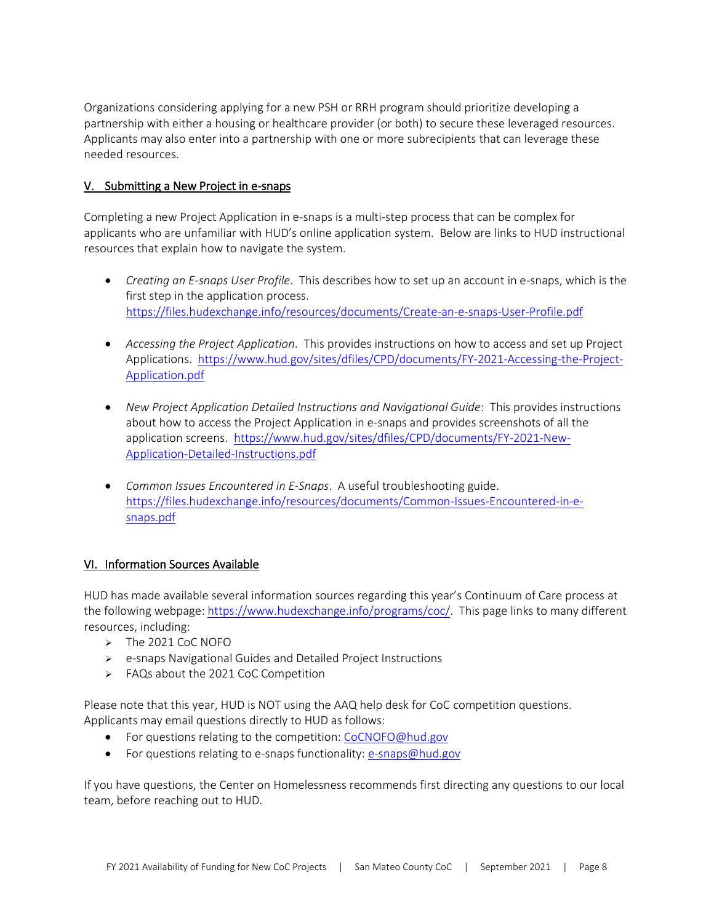Organizations considering applying for a new PSH or RRH program should prioritize developing a partnership with either a housing or healthcare provider (or both) to secure these leveraged resources. Applicants may also enter into a partnership with one or more subrecipients that can leverage these needed resources.

# V. Submitting a New Project in e-snaps

Completing a new Project Application in e-snaps is a multi-step process that can be complex for applicants who are unfamiliar with HUD's online application system. Below are links to HUD instructional resources that explain how to navigate the system.

- *Creating an E-snaps User Profile*. This describes how to set up an account in e-snaps, which is the first step in the application process. <https://files.hudexchange.info/resources/documents/Create-an-e-snaps-User-Profile.pdf>
- *Accessing the Project Application*. This provides instructions on how to access and set up Project Applications. [https://www.hud.gov/sites/dfiles/CPD/documents/FY-2021-Accessing-the-Project-](https://www.hud.gov/sites/dfiles/CPD/documents/FY-2021-Accessing-the-Project-Application.pdf)[Application.pdf](https://www.hud.gov/sites/dfiles/CPD/documents/FY-2021-Accessing-the-Project-Application.pdf)
- *New Project Application Detailed Instructions and Navigational Guide*: This provides instructions about how to access the Project Application in e-snaps and provides screenshots of all the application screens. [https://www.hud.gov/sites/dfiles/CPD/documents/FY-2021-New-](https://www.hud.gov/sites/dfiles/CPD/documents/FY-2021-New-Application-Detailed-Instructions.pdf)[Application-Detailed-Instructions.pdf](https://www.hud.gov/sites/dfiles/CPD/documents/FY-2021-New-Application-Detailed-Instructions.pdf)
- *Common Issues Encountered in E-Snaps*. A useful troubleshooting guide. [https://files.hudexchange.info/resources/documents/Common-Issues-Encountered-in-e](https://files.hudexchange.info/resources/documents/Common-Issues-Encountered-in-e-snaps.pdf)[snaps.pdf](https://files.hudexchange.info/resources/documents/Common-Issues-Encountered-in-e-snaps.pdf)

# VI. Information Sources Available

HUD has made available several information sources regarding this year's Continuum of Care process at the following webpage: [https://www.hudexchange.info/programs/coc/.](https://www.hudexchange.info/programs/coc/) This page links to many different resources, including:

- ➢ The 2021 CoC NOFO
- ➢ e-snaps Navigational Guides and Detailed Project Instructions
- ➢ FAQs about the 2021 CoC Competition

Please note that this year, HUD is NOT using the AAQ help desk for CoC competition questions. Applicants may email questions directly to HUD as follows:

- For questions relating to the competition: [CoCNOFO@hud.gov](mailto:CoCNOFO@hud.gov)
- For questions relating to e-snaps functionality[: e-snaps@hud.gov](mailto:e-snaps@hud.gov)

If you have questions, the Center on Homelessness recommends first directing any questions to our local team, before reaching out to HUD.